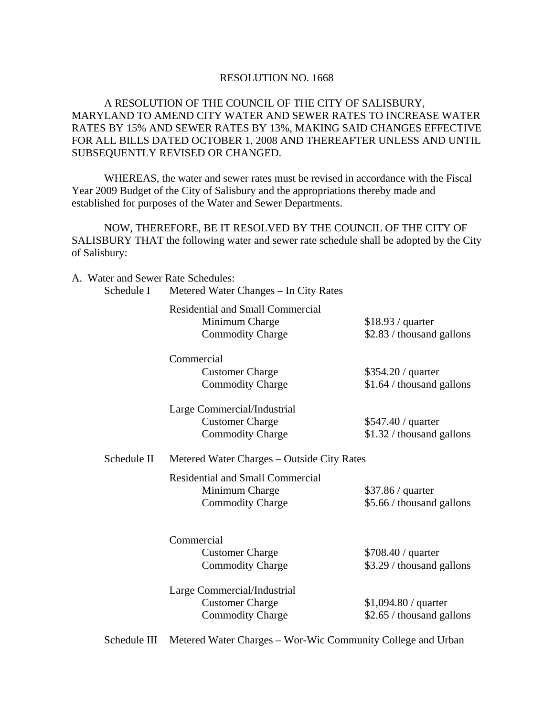### RESOLUTION NO. 1668

# A RESOLUTION OF THE COUNCIL OF THE CITY OF SALISBURY, MARYLAND TO AMEND CITY WATER AND SEWER RATES TO INCREASE WATER RATES BY 15% AND SEWER RATES BY 13%, MAKING SAID CHANGES EFFECTIVE FOR ALL BILLS DATED OCTOBER 1, 2008 AND THEREAFTER UNLESS AND UNTIL SUBSEQUENTLY REVISED OR CHANGED.

 WHEREAS, the water and sewer rates must be revised in accordance with the Fiscal Year 2009 Budget of the City of Salisbury and the appropriations thereby made and established for purposes of the Water and Sewer Departments.

 NOW, THEREFORE, BE IT RESOLVED BY THE COUNCIL OF THE CITY OF SALISBURY THAT the following water and sewer rate schedule shall be adopted by the City of Salisbury:

A. Water and Sewer Rate Schedules:

Schedule I Metered Water Changes – In City Rates

 Residential and Small Commercial Minimum Charge \$18.93 / quarter Commodity Charge \$2.83 / thousand gallons

Commercial

Customer Charge \$354.20 / quarter

Commodity Charge \$1.64 / thousand gallons

 Large Commercial/Industrial Customer Charge \$547.40 / quarter Commodity Charge \$1.32 / thousand gallons

# Schedule II Metered Water Charges – Outside City Rates

 Residential and Small Commercial Minimum Charge  $$37.86 /$  quarter Commodity Charge \$5.66 / thousand gallons

**Commercial** Customer Charge \$708.40 / quarter

Commodity Charge \$3.29 / thousand gallons

 Large Commercial/Industrial Customer Charge \$1,094.80 / quarter Commodity Charge \$2.65 / thousand gallons

Schedule III Metered Water Charges – Wor-Wic Community College and Urban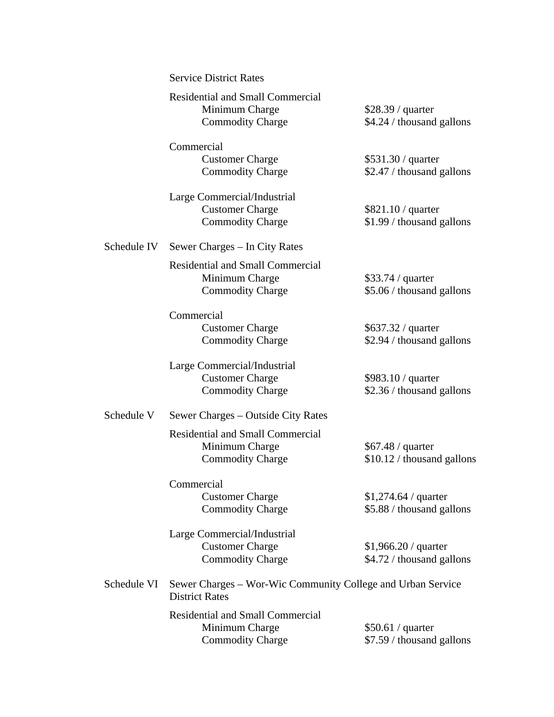|             | <b>Service District Rates</b>                                                        |                                                    |
|-------------|--------------------------------------------------------------------------------------|----------------------------------------------------|
|             | <b>Residential and Small Commercial</b><br>Minimum Charge<br><b>Commodity Charge</b> | \$28.39 / quarter<br>\$4.24 / thousand gallons     |
|             | Commercial<br><b>Customer Charge</b><br><b>Commodity Charge</b>                      | \$531.30 / quarter<br>\$2.47 / thousand gallons    |
|             | Large Commercial/Industrial<br><b>Customer Charge</b><br><b>Commodity Charge</b>     | $$821.10 /$ quarter<br>\$1.99 / thousand gallons   |
| Schedule IV | Sewer Charges – In City Rates                                                        |                                                    |
|             | <b>Residential and Small Commercial</b><br>Minimum Charge<br><b>Commodity Charge</b> | $$33.74 /$ quarter<br>\$5.06 / thousand gallons    |
|             | Commercial<br><b>Customer Charge</b><br><b>Commodity Charge</b>                      | \$637.32 / quarter<br>\$2.94 / thousand gallons    |
|             | Large Commercial/Industrial<br><b>Customer Charge</b><br><b>Commodity Charge</b>     | \$983.10 / quarter<br>\$2.36 / thousand gallons    |
| Schedule V  | Sewer Charges – Outside City Rates                                                   |                                                    |
|             | <b>Residential and Small Commercial</b><br>Minimum Charge<br><b>Commodity Charge</b> | \$67.48 / quarter<br>\$10.12 / thousand gallons    |
|             | Commercial<br><b>Customer Charge</b><br><b>Commodity Charge</b>                      | \$1,274.64 / quarter<br>\$5.88 / thousand gallons  |
|             | Large Commercial/Industrial<br><b>Customer Charge</b><br><b>Commodity Charge</b>     | $$1,966.20 /$ quarter<br>\$4.72 / thousand gallons |
| Schedule VI | Sewer Charges – Wor-Wic Community College and Urban Service<br><b>District Rates</b> |                                                    |
|             | <b>Residential and Small Commercial</b><br>Minimum Charge<br><b>Commodity Charge</b> | \$50.61 / quarter<br>\$7.59 / thousand gallons     |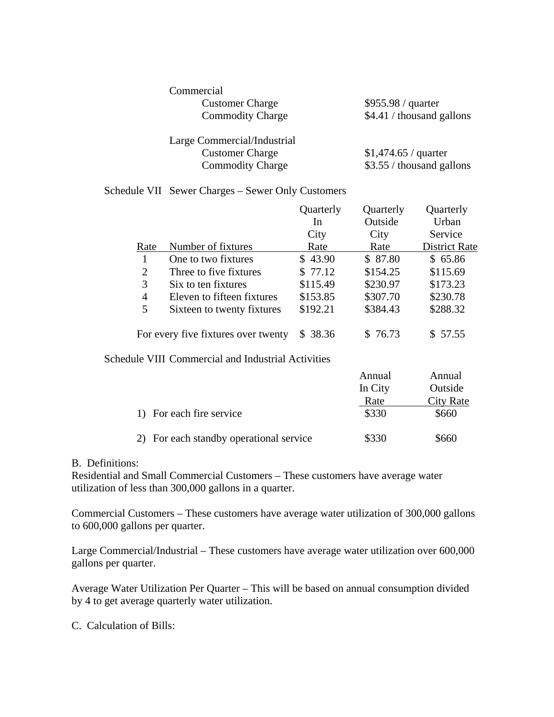| Commercial                  |                           |
|-----------------------------|---------------------------|
| <b>Customer Charge</b>      | \$955.98 / quarter        |
| <b>Commodity Charge</b>     | \$4.41 / thousand gallons |
| Large Commercial/Industrial |                           |
| <b>Customer Charge</b>      | $$1,474.65 /$ quarter     |
| <b>Commodity Charge</b>     | \$3.55 / thousand gallons |

## Schedule VII Sewer Charges – Sewer Only Customers

|      |                                     | Quarterly | Quarterly | Quarterly            |
|------|-------------------------------------|-----------|-----------|----------------------|
|      |                                     | In        | Outside   | Urban                |
|      |                                     | City      | City      | Service              |
| Rate | Number of fixtures                  | Rate      | Rate      | <b>District Rate</b> |
|      | One to two fixtures                 | \$43.90   | \$ 87.80  | \$65.86              |
| 2    | Three to five fixtures              | \$77.12   | \$154.25  | \$115.69             |
| 3    | Six to ten fixtures                 | \$115.49  | \$230.97  | \$173.23             |
| 4    | Eleven to fifteen fixtures          | \$153.85  | \$307.70  | \$230.78             |
| 5    | Sixteen to twenty fixtures          | \$192.21  | \$384.43  | \$288.32             |
|      | For every five fixtures over twenty | \$38.36   | \$76.73   | \$57.55              |

Schedule VIII Commercial and Industrial Activities

|                                      | Annual  | Annual    |
|--------------------------------------|---------|-----------|
|                                      | In City | Outside   |
|                                      | Rate    | City Rate |
| 1) For each fire service             | \$330   | \$660     |
| For each standby operational service | \$330   | \$660     |

### B. Definitions:

Residential and Small Commercial Customers – These customers have average water utilization of less than 300,000 gallons in a quarter.

Commercial Customers – These customers have average water utilization of 300,000 gallons to 600,000 gallons per quarter.

Large Commercial/Industrial – These customers have average water utilization over 600,000 gallons per quarter.

Average Water Utilization Per Quarter – This will be based on annual consumption divided by 4 to get average quarterly water utilization.

C. Calculation of Bills: